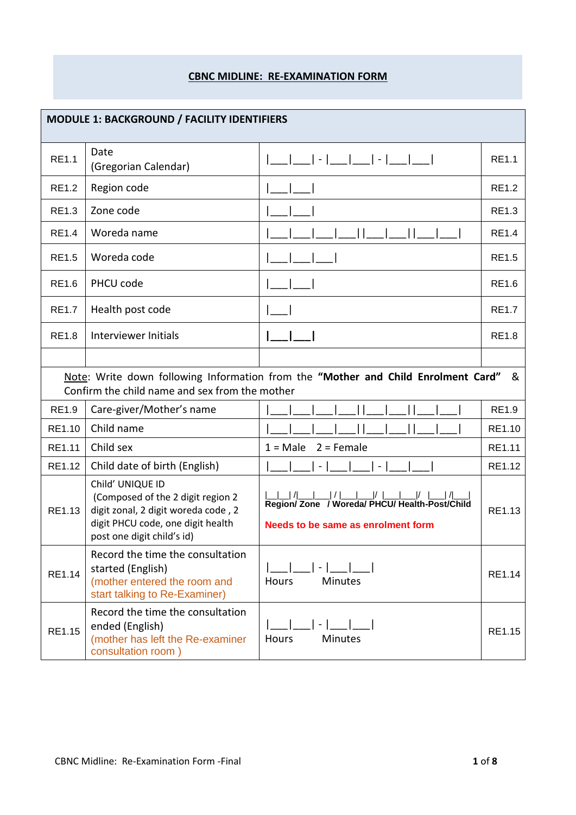## **CBNC MIDLINE: RE-EXAMINATION FORM**

| <b>MODULE 1: BACKGROUND / FACILITY IDENTIFIERS</b> |                                                                                                                                                                 |                                                                                                                                              |              |  |  |  |
|----------------------------------------------------|-----------------------------------------------------------------------------------------------------------------------------------------------------------------|----------------------------------------------------------------------------------------------------------------------------------------------|--------------|--|--|--|
| <b>RE1.1</b>                                       | Date<br>(Gregorian Calendar)                                                                                                                                    | -  ___ ___  -  ___ ___                                                                                                                       | RE1.1        |  |  |  |
| <b>RE1.2</b>                                       | Region code                                                                                                                                                     |                                                                                                                                              | <b>RE1.2</b> |  |  |  |
| <b>RE1.3</b>                                       | Zone code                                                                                                                                                       |                                                                                                                                              | <b>RE1.3</b> |  |  |  |
| RE1.4                                              | Woreda name                                                                                                                                                     |                                                                                                                                              | <b>RE1.4</b> |  |  |  |
| <b>RE1.5</b>                                       | Woreda code                                                                                                                                                     |                                                                                                                                              | <b>RE1.5</b> |  |  |  |
| <b>RE1.6</b>                                       | PHCU code                                                                                                                                                       |                                                                                                                                              | <b>RE1.6</b> |  |  |  |
| <b>RE1.7</b>                                       | Health post code                                                                                                                                                |                                                                                                                                              | <b>RE1.7</b> |  |  |  |
| <b>RE1.8</b>                                       | Interviewer Initials                                                                                                                                            |                                                                                                                                              | <b>RE1.8</b> |  |  |  |
|                                                    |                                                                                                                                                                 |                                                                                                                                              |              |  |  |  |
|                                                    | Confirm the child name and sex from the mother                                                                                                                  | Note: Write down following Information from the "Mother and Child Enrolment Card"                                                            | &            |  |  |  |
| <b>RE1.9</b>                                       | Care-giver/Mother's name                                                                                                                                        |                                                                                                                                              | <b>RE1.9</b> |  |  |  |
| RE1.10                                             | Child name                                                                                                                                                      |                                                                                                                                              | RE1.10       |  |  |  |
| RE1.11                                             | Child sex                                                                                                                                                       | $1 = Male$<br>$2$ = Female                                                                                                                   | RE1.11       |  |  |  |
| RE1.12                                             | Child date of birth (English)                                                                                                                                   | $\equiv$                                                                                                                                     | RE1.12       |  |  |  |
| RE1.13                                             | Child' UNIQUE ID<br>(Composed of the 2 digit region 2<br>digit zonal, 2 digit woreda code, 2<br>digit PHCU code, one digit health<br>post one digit child's id) | __ _  / ___ __  /  ___ ___ /  ___ ___ /  ___  / ___ <br>Region/ Zone / Woreda/ PHCU/ Health-Post/Child<br>Needs to be same as enrolment form | RE1.13       |  |  |  |
| RE1.14                                             | Record the time the consultation<br>started (English)<br>(mother entered the room and<br>start talking to Re-Examiner)                                          | <b>Minutes</b><br>Hours                                                                                                                      | RE1.14       |  |  |  |
| RE1.15                                             | Record the time the consultation<br>ended (English)<br>(mother has left the Re-examiner<br>consultation room)                                                   | Hours<br><b>Minutes</b>                                                                                                                      | RE1.15       |  |  |  |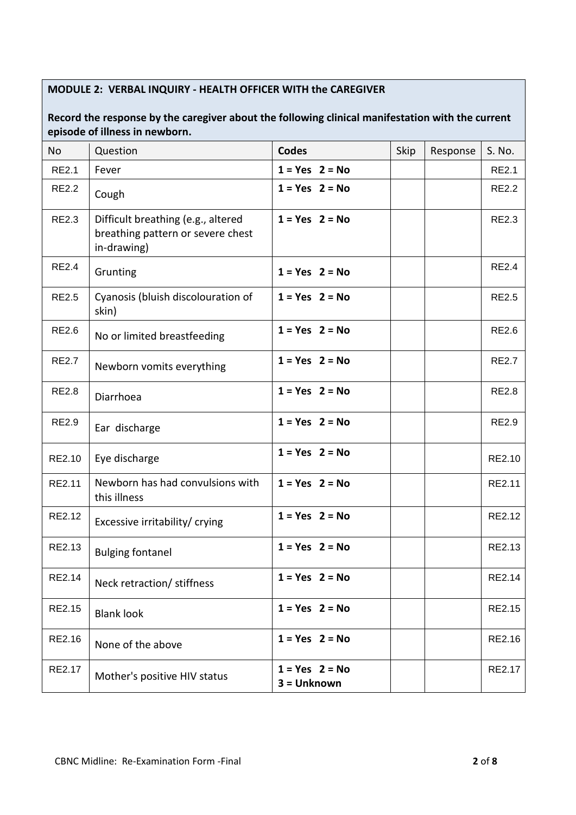## **MODULE 2: VERBAL INQUIRY - HEALTH OFFICER WITH the CAREGIVER**

## **Record the response by the caregiver about the following clinical manifestation with the current episode of illness in newborn.**

| <b>No</b>    | Question                                                                               | <b>Codes</b>                      | Skip | Response | S. No.       |
|--------------|----------------------------------------------------------------------------------------|-----------------------------------|------|----------|--------------|
| <b>RE2.1</b> | Fever                                                                                  | $1 = Yes$ 2 = No                  |      |          | <b>RE2.1</b> |
| <b>RE2.2</b> | Cough                                                                                  | $1 = Yes$ 2 = No                  |      |          | <b>RE2.2</b> |
| <b>RE2.3</b> | Difficult breathing (e.g., altered<br>breathing pattern or severe chest<br>in-drawing) | $1 = Yes$ 2 = No                  |      |          | <b>RE2.3</b> |
| <b>RE2.4</b> | Grunting                                                                               | $1 = Yes$ 2 = No                  |      |          | <b>RE2.4</b> |
| <b>RE2.5</b> | Cyanosis (bluish discolouration of<br>skin)                                            | $1 = Yes$ 2 = No                  |      |          | <b>RE2.5</b> |
| <b>RE2.6</b> | No or limited breastfeeding                                                            | $1 = Yes$ 2 = No                  |      |          | <b>RE2.6</b> |
| <b>RE2.7</b> | Newborn vomits everything                                                              | $1 = Yes$ $2 = No$                |      |          | <b>RE2.7</b> |
| <b>RE2.8</b> | Diarrhoea                                                                              | $1 = Yes$ 2 = No                  |      |          | <b>RE2.8</b> |
| <b>RE2.9</b> | Ear discharge                                                                          | $1 = Yes$ 2 = No                  |      |          | <b>RE2.9</b> |
| RE2.10       | Eye discharge                                                                          | $1 = Yes$ 2 = No                  |      |          | RE2.10       |
| RE2.11       | Newborn has had convulsions with<br>this illness                                       | $1 = Yes$ 2 = No                  |      |          | RE2.11       |
| RE2.12       | Excessive irritability/ crying                                                         | $1 = Yes$ 2 = No                  |      |          | RE2.12       |
| RE2.13       | <b>Bulging fontanel</b>                                                                | $1 = Yes$ 2 = No                  |      |          | RE2.13       |
| RE2.14       | Neck retraction/ stiffness                                                             | $1 = Yes$ $2 = No$                |      |          | RE2.14       |
| RE2.15       | <b>Blank look</b>                                                                      | $1 = Yes$ 2 = No                  |      |          | RE2.15       |
| RE2.16       | None of the above                                                                      | $1 = Yes$ 2 = No                  |      |          | RE2.16       |
| RE2.17       | Mother's positive HIV status                                                           | $1 = Yes$ $2 = No$<br>3 = Unknown |      |          | RE2.17       |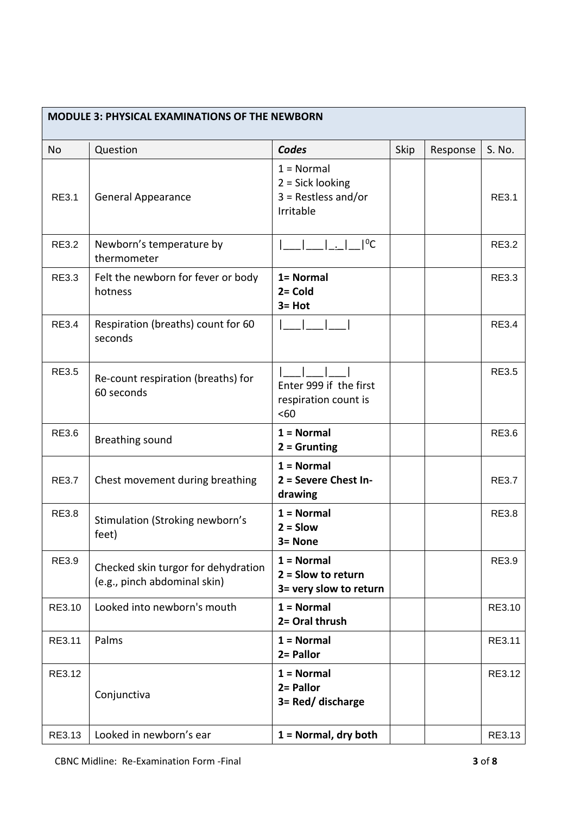| <b>MODULE 3: PHYSICAL EXAMINATIONS OF THE NEWBORN</b> |                                                                     |                                                                          |      |          |              |  |
|-------------------------------------------------------|---------------------------------------------------------------------|--------------------------------------------------------------------------|------|----------|--------------|--|
| <b>No</b>                                             | Question                                                            | Codes                                                                    | Skip | Response | S. No.       |  |
| RE3.1                                                 | <b>General Appearance</b>                                           | $1 = Normal$<br>$2 = Sick looking$<br>$3 = Restless and/or$<br>Irritable |      |          | RE3.1        |  |
| <b>RE3.2</b>                                          | Newborn's temperature by<br>thermometer                             | $1^0$ C                                                                  |      |          | <b>RE3.2</b> |  |
| <b>RE3.3</b>                                          | Felt the newborn for fever or body<br>hotness                       | 1= Normal<br>$2 =$ Cold<br>$3 = Hot$                                     |      |          | <b>RE3.3</b> |  |
| <b>RE3.4</b>                                          | Respiration (breaths) count for 60<br>seconds                       |                                                                          |      |          | <b>RE3.4</b> |  |
| <b>RE3.5</b>                                          | Re-count respiration (breaths) for<br>60 seconds                    | Enter 999 if the first<br>respiration count is<br><60                    |      |          | <b>RE3.5</b> |  |
| <b>RE3.6</b>                                          | Breathing sound                                                     | $1 = Normal$<br>$2 =$ Grunting                                           |      |          | <b>RE3.6</b> |  |
| <b>RE3.7</b>                                          | Chest movement during breathing                                     | $1 = Normal$<br>2 = Severe Chest In-<br>drawing                          |      |          | <b>RE3.7</b> |  |
| <b>RE3.8</b>                                          | Stimulation (Stroking newborn's<br>feet)                            | $1 = Normal$<br>$2 =$ Slow<br>3= None                                    |      |          | <b>RE3.8</b> |  |
| <b>RE3.9</b>                                          | Checked skin turgor for dehydration<br>(e.g., pinch abdominal skin) | $1 = Normal$<br>$2 =$ Slow to return<br>3= very slow to return           |      |          | RE3.9        |  |
| RE3.10                                                | Looked into newborn's mouth                                         | $1 = Normal$<br>2= Oral thrush                                           |      |          | RE3.10       |  |
| RE3.11                                                | Palms                                                               | $1 = Normal$<br>2= Pallor                                                |      |          | RE3.11       |  |
| RE3.12                                                | Conjunctiva                                                         | $1 = Normal$<br>2= Pallor<br>3= Red/ discharge                           |      |          | RE3.12       |  |
| RE3.13                                                | Looked in newborn's ear                                             | $1 = Normal$ , dry both                                                  |      |          | RE3.13       |  |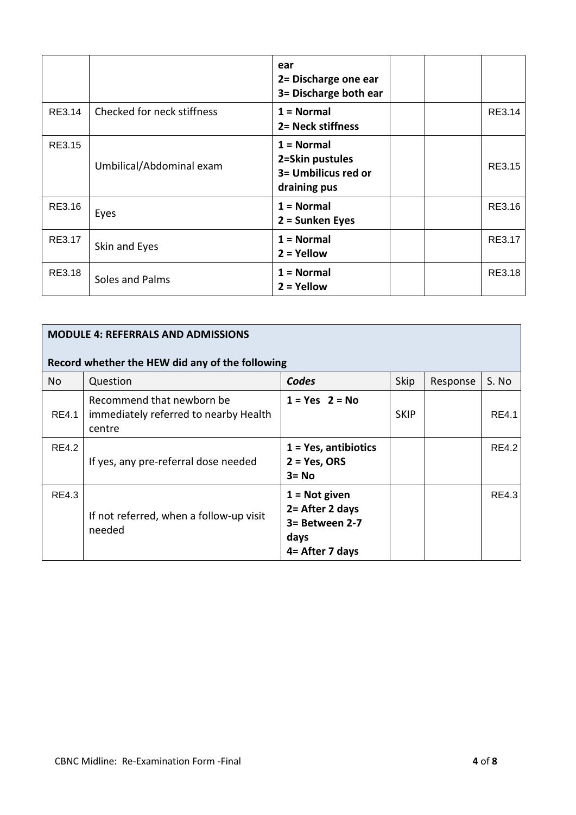|        |                            | ear<br>2= Discharge one ear<br>3= Discharge both ear                   |  |        |
|--------|----------------------------|------------------------------------------------------------------------|--|--------|
| RE3.14 | Checked for neck stiffness | $1 = Normal$<br>2= Neck stiffness                                      |  | RE3.14 |
| RE3.15 | Umbilical/Abdominal exam   | $1 = Normal$<br>2=Skin pustules<br>3= Umbilicus red or<br>draining pus |  | RE3.15 |
| RE3.16 | Eyes                       | $1 = Normal$<br>2 = Sunken Eyes                                        |  | RE3.16 |
| RE3.17 | Skin and Eyes              | $1 = Normal$<br>$2 =$ Yellow                                           |  | RE3.17 |
| RE3.18 | Soles and Palms            | $1 = Normal$<br>$2 =$ Yellow                                           |  | RE3.18 |

|              | <b>MODULE 4: REFERRALS AND ADMISSIONS</b>                                    |                                                                                   |             |          |              |  |  |
|--------------|------------------------------------------------------------------------------|-----------------------------------------------------------------------------------|-------------|----------|--------------|--|--|
|              | Record whether the HEW did any of the following                              |                                                                                   |             |          |              |  |  |
| No           | Question                                                                     | Codes                                                                             | Skip        | Response | S. No        |  |  |
| <b>RE4.1</b> | Recommend that newborn be<br>immediately referred to nearby Health<br>centre | $1 = Yes$ 2 = No                                                                  | <b>SKIP</b> |          | <b>RE4.1</b> |  |  |
| <b>RE4.2</b> | If yes, any pre-referral dose needed                                         | $1 = Yes$ , antibiotics<br>$2 = Yes, ORS$<br>$3 = No$                             |             |          | <b>RE4.2</b> |  |  |
| <b>RE4.3</b> | If not referred, when a follow-up visit<br>needed                            | $1 = Not$ given<br>2 = After 2 days<br>3= Between 2-7<br>days<br>4 = After 7 days |             |          | RE4.3        |  |  |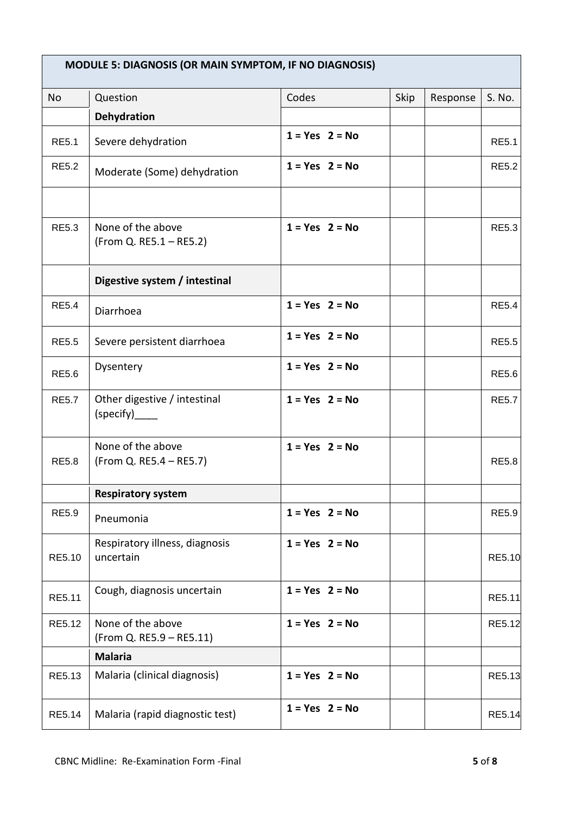|              | <b>MODULE 5: DIAGNOSIS (OR MAIN SYMPTOM, IF NO DIAGNOSIS)</b> |                    |      |          |               |
|--------------|---------------------------------------------------------------|--------------------|------|----------|---------------|
| <b>No</b>    | Question                                                      | Codes              | Skip | Response | S. No.        |
|              | Dehydration                                                   |                    |      |          |               |
| <b>RE5.1</b> | Severe dehydration                                            | $1 = Yes$ 2 = No   |      |          | <b>RE5.1</b>  |
| <b>RE5.2</b> | Moderate (Some) dehydration                                   | $1 = Yes$ 2 = No   |      |          | <b>RE5.2</b>  |
| <b>RE5.3</b> | None of the above                                             | $1 = Yes$ 2 = No   |      |          | <b>RE5.3</b>  |
|              | (From Q. RE5.1 – RE5.2)                                       |                    |      |          |               |
|              | Digestive system / intestinal                                 |                    |      |          |               |
| <b>RE5.4</b> | Diarrhoea                                                     | $1 = Yes$ 2 = No   |      |          | <b>RE5.4</b>  |
| <b>RE5.5</b> | Severe persistent diarrhoea                                   | $1 = Yes$ 2 = No   |      |          | <b>RE5.5</b>  |
| <b>RE5.6</b> | Dysentery                                                     | $1 = Yes$ $2 = No$ |      |          | <b>RE5.6</b>  |
| <b>RE5.7</b> | Other digestive / intestinal                                  | $1 = Yes$ 2 = No   |      |          | <b>RE5.7</b>  |
| <b>RE5.8</b> | None of the above<br>(From Q. RE5.4 – RE5.7)                  | $1 = Yes$ 2 = No   |      |          | <b>RE5.8</b>  |
|              | <b>Respiratory system</b>                                     |                    |      |          |               |
| <b>RE5.9</b> | Pneumonia                                                     | $1 = Yes$ 2 = No   |      |          | <b>RE5.9</b>  |
| RE5.10       | Respiratory illness, diagnosis<br>uncertain                   | $1 = Yes$ 2 = No   |      |          | <b>RE5.10</b> |
| RE5.11       | Cough, diagnosis uncertain                                    | $1 = Yes$ 2 = No   |      |          | RE5.11        |
| RE5.12       | None of the above<br>(From Q. RE5.9 - RE5.11)                 | $1 = Yes$ 2 = No   |      |          | RE5.12        |
|              | <b>Malaria</b>                                                |                    |      |          |               |
| RE5.13       | Malaria (clinical diagnosis)                                  | $1 = Yes$ 2 = No   |      |          | RE5.13        |
| RE5.14       | Malaria (rapid diagnostic test)                               | $1 = Yes$ 2 = No   |      |          | <b>RE5.14</b> |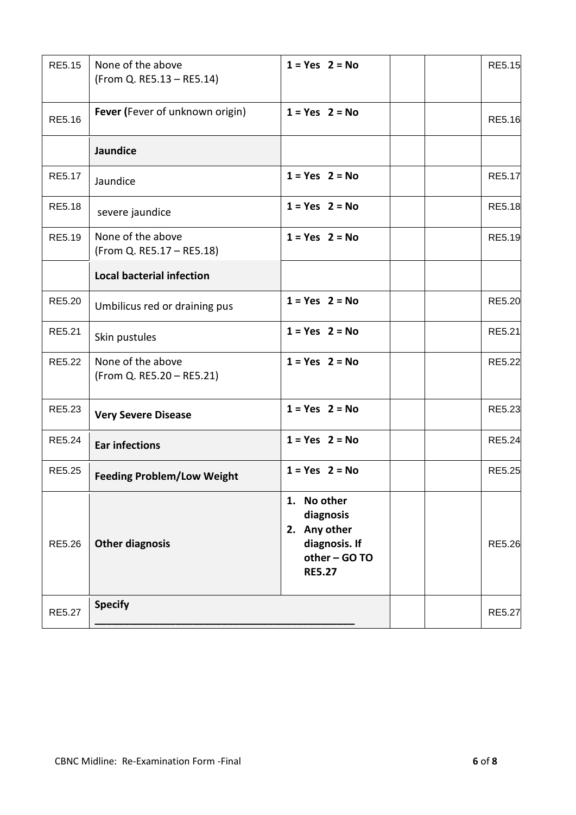| RE5.15        | None of the above<br>(From Q. RE5.13 - RE5.14) | $1 = Yes$ 2 = No                                                                            |  | <b>RE5.15</b> |
|---------------|------------------------------------------------|---------------------------------------------------------------------------------------------|--|---------------|
| RE5.16        | Fever (Fever of unknown origin)                | $1 = Yes$ 2 = No                                                                            |  | <b>RE5.16</b> |
|               | Jaundice                                       |                                                                                             |  |               |
| RE5.17        | Jaundice                                       | $1 = Yes$ 2 = No                                                                            |  | <b>RE5.17</b> |
| <b>RE5.18</b> | severe jaundice                                | $1 = Yes$ 2 = No                                                                            |  | <b>RE5.18</b> |
| RE5.19        | None of the above<br>(From Q. RE5.17 - RE5.18) | $1 = Yes$ 2 = No                                                                            |  | <b>RE5.19</b> |
|               | <b>Local bacterial infection</b>               |                                                                                             |  |               |
| RE5.20        | Umbilicus red or draining pus                  | $1 = Yes$ 2 = No                                                                            |  | <b>RE5.20</b> |
| RE5.21        | Skin pustules                                  | $1 = Yes$ 2 = No                                                                            |  | RE5.21        |
| RE5.22        | None of the above<br>(From Q. RE5.20 - RE5.21) | $1 = Yes$ 2 = No                                                                            |  | <b>RE5.22</b> |
| RE5.23        | <b>Very Severe Disease</b>                     | $1 = Yes$ 2 = No                                                                            |  | <b>RE5.23</b> |
| RE5.24        | <b>Ear infections</b>                          | $1 = Yes$ 2 = No                                                                            |  | <b>RE5.24</b> |
| RE5.25        | <b>Feeding Problem/Low Weight</b>              | $1 = Yes$ 2 = No                                                                            |  | <b>RE5.25</b> |
| RE5.26        | <b>Other diagnosis</b>                         | 1. No other<br>diagnosis<br>2. Any other<br>diagnosis. If<br>other - GO TO<br><b>RE5.27</b> |  | <b>RE5.26</b> |
| <b>RE5.27</b> | <b>Specify</b>                                 |                                                                                             |  | <b>RE5.27</b> |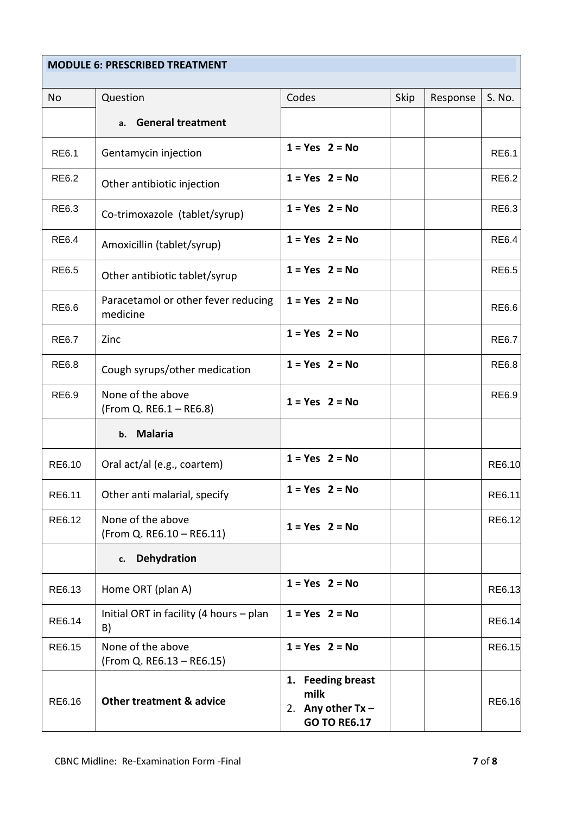## **MODULE 6: PRESCRIBED TREATMENT**

| No           | Question                                        | Codes                                                                   | Skip | Response | S. No.        |
|--------------|-------------------------------------------------|-------------------------------------------------------------------------|------|----------|---------------|
|              | <b>General treatment</b><br>a.                  |                                                                         |      |          |               |
| <b>RE6.1</b> | Gentamycin injection                            | $1 = Yes$ 2 = No                                                        |      |          | <b>RE6.1</b>  |
| RE6.2        | Other antibiotic injection                      | $1 = Yes$ 2 = No                                                        |      |          | <b>RE6.2</b>  |
| <b>RE6.3</b> | Co-trimoxazole (tablet/syrup)                   | $1 = Yes$ 2 = No                                                        |      |          | RE6.3         |
| <b>RE6.4</b> | Amoxicillin (tablet/syrup)                      | $1 = Yes$ 2 = No                                                        |      |          | <b>RE6.4</b>  |
| <b>RE6.5</b> | Other antibiotic tablet/syrup                   | $1 = Yes$ 2 = No                                                        |      |          | <b>RE6.5</b>  |
| RE6.6        | Paracetamol or other fever reducing<br>medicine | $1 = Yes$ 2 = No                                                        |      |          | RE6.6         |
| <b>RE6.7</b> | Zinc                                            | $1 = Yes$ 2 = No                                                        |      |          | <b>RE6.7</b>  |
| <b>RE6.8</b> | Cough syrups/other medication                   | $1 = Yes$ 2 = No                                                        |      |          | <b>RE6.8</b>  |
| RE6.9        | None of the above<br>(From Q. RE6.1 - RE6.8)    | $1 = Yes$ 2 = No                                                        |      |          | <b>RE6.9</b>  |
|              | <b>Malaria</b><br>b.                            |                                                                         |      |          |               |
| RE6.10       | Oral act/al (e.g., coartem)                     | $1 = Yes$ 2 = No                                                        |      |          | RE6.10        |
| RE6.11       | Other anti malarial, specify                    | $1 = Yes$ 2 = No                                                        |      |          | RE6.11        |
| RE6.12       | None of the above<br>(From Q. RE6.10 - RE6.11)  | $1 = Yes$ 2 = No                                                        |      |          | RE6.12        |
|              | <b>Dehydration</b><br>c.                        |                                                                         |      |          |               |
| RE6.13       | Home ORT (plan A)                               | $1 = Yes$ $2 = No$                                                      |      |          | RE6.13        |
| RE6.14       | Initial ORT in facility (4 hours - plan<br>B)   | $1 = Yes$ 2 = No                                                        |      |          | RE6.14        |
| RE6.15       | None of the above<br>(From Q. RE6.13 - RE6.15)  | $1 = Yes$ 2 = No                                                        |      |          | <b>RE6.15</b> |
| RE6.16       | <b>Other treatment &amp; advice</b>             | 1. Feeding breast<br>milk<br>2. Any other $Tx -$<br><b>GO TO RE6.17</b> |      |          | RE6.16        |